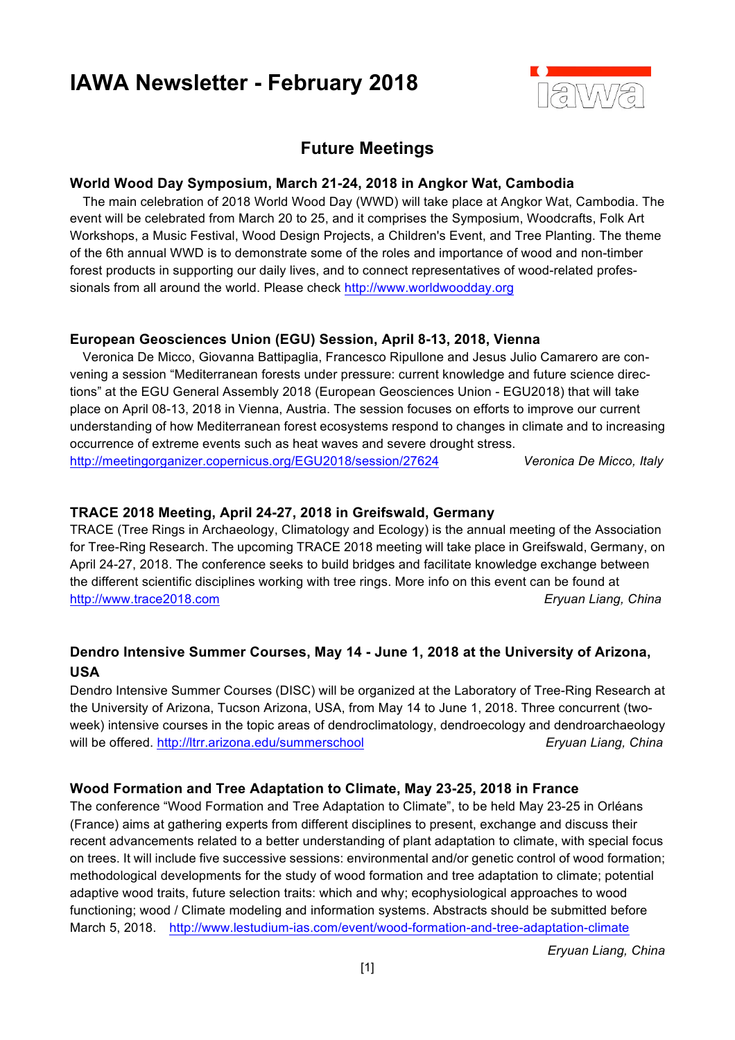# **IAWA Newsletter - February 2018**



## **Future Meetings**

#### **World Wood Day Symposium, March 21-24, 2018 in Angkor Wat, Cambodia**

 The main celebration of 2018 World Wood Day (WWD) will take place at Angkor Wat, Cambodia. The event will be celebrated from March 20 to 25, and it comprises the Symposium, Woodcrafts, Folk Art Workshops, a Music Festival, Wood Design Projects, a Children's Event, and Tree Planting. The theme of the 6th annual WWD is to demonstrate some of the roles and importance of wood and non-timber forest products in supporting our daily lives, and to connect representatives of wood-related professionals from all around the world. Please check http://www.worldwoodday.org

#### **European Geosciences Union (EGU) Session, April 8-13, 2018, Vienna**

 Veronica De Micco, Giovanna Battipaglia, Francesco Ripullone and Jesus Julio Camarero are convening a session "Mediterranean forests under pressure: current knowledge and future science directions" at the EGU General Assembly 2018 (European Geosciences Union - EGU2018) that will take place on April 08-13, 2018 in Vienna, Austria. The session focuses on efforts to improve our current understanding of how Mediterranean forest ecosystems respond to changes in climate and to increasing occurrence of extreme events such as heat waves and severe drought stress. http://meetingorganizer.copernicus.org/EGU2018/session/27624 *Veronica De Micco, Italy*

#### **TRACE 2018 Meeting, April 24-27, 2018 in Greifswald, Germany**

TRACE (Tree Rings in Archaeology, Climatology and Ecology) is the annual meeting of the Association for Tree-Ring Research. The upcoming TRACE 2018 meeting will take place in Greifswald, Germany, on April 24-27, 2018. The conference seeks to build bridges and facilitate knowledge exchange between the different scientific disciplines working with tree rings. More info on this event can be found at http://www.trace2018.com *Eryuan Liang, China*

### **Dendro Intensive Summer Courses, May 14 - June 1, 2018 at the University of Arizona, USA**

Dendro Intensive Summer Courses (DISC) will be organized at the Laboratory of Tree-Ring Research at the University of Arizona, Tucson Arizona, USA, from May 14 to June 1, 2018. Three concurrent (twoweek) intensive courses in the topic areas of dendroclimatology, dendroecology and dendroarchaeology will be offered. http://ltrr.arizona.edu/summerschool **Eryuan Liang, China** 

#### **Wood Formation and Tree Adaptation to Climate, May 23-25, 2018 in France**

The conference "Wood Formation and Tree Adaptation to Climate", to be held May 23-25 in Orléans (France) aims at gathering experts from different disciplines to present, exchange and discuss their recent advancements related to a better understanding of plant adaptation to climate, with special focus on trees. It will include five successive sessions: environmental and/or genetic control of wood formation; methodological developments for the study of wood formation and tree adaptation to climate; potential adaptive wood traits, future selection traits: which and why; ecophysiological approaches to wood functioning; wood / Climate modeling and information systems. Abstracts should be submitted before March 5, 2018. http://www.lestudium-ias.com/event/wood-formation-and-tree-adaptation-climate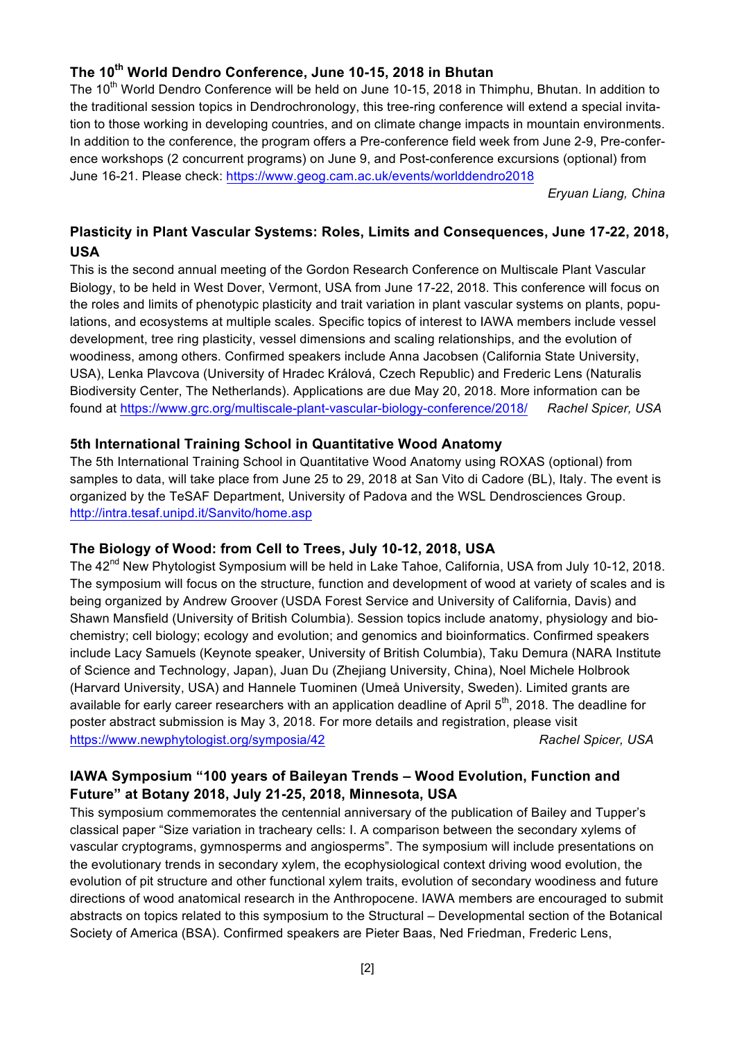## **The 10th World Dendro Conference, June 10-15, 2018 in Bhutan**

The 10<sup>th</sup> World Dendro Conference will be held on June 10-15, 2018 in Thimphu, Bhutan. In addition to the traditional session topics in Dendrochronology, this tree-ring conference will extend a special invitation to those working in developing countries, and on climate change impacts in mountain environments. In addition to the conference, the program offers a Pre-conference field week from June 2-9, Pre-conference workshops (2 concurrent programs) on June 9, and Post-conference excursions (optional) from June 16-21. Please check: https://www.geog.cam.ac.uk/events/worlddendro2018

*Eryuan Liang, China*

## **Plasticity in Plant Vascular Systems: Roles, Limits and Consequences, June 17-22, 2018, USA**

This is the second annual meeting of the Gordon Research Conference on Multiscale Plant Vascular Biology, to be held in West Dover, Vermont, USA from June 17-22, 2018. This conference will focus on the roles and limits of phenotypic plasticity and trait variation in plant vascular systems on plants, populations, and ecosystems at multiple scales. Specific topics of interest to IAWA members include vessel development, tree ring plasticity, vessel dimensions and scaling relationships, and the evolution of woodiness, among others. Confirmed speakers include Anna Jacobsen (California State University, USA), Lenka Plavcova (University of Hradec Králová, Czech Republic) and Frederic Lens (Naturalis Biodiversity Center, The Netherlands). Applications are due May 20, 2018. More information can be found at https://www.grc.org/multiscale-plant-vascular-biology-conference/2018/ *Rachel Spicer, USA*

#### **5th International Training School in Quantitative Wood Anatomy**

The 5th International Training School in Quantitative Wood Anatomy using ROXAS (optional) from samples to data, will take place from June 25 to 29, 2018 at San Vito di Cadore (BL), Italy. The event is organized by the TeSAF Department, University of Padova and the WSL Dendrosciences Group. http://intra.tesaf.unipd.it/Sanvito/home.asp

#### **The Biology of Wood: from Cell to Trees, July 10-12, 2018, USA**

The 42<sup>nd</sup> New Phytologist Symposium will be held in Lake Tahoe, California, USA from July 10-12, 2018. The symposium will focus on the structure, function and development of wood at variety of scales and is being organized by Andrew Groover (USDA Forest Service and University of California, Davis) and Shawn Mansfield (University of British Columbia). Session topics include anatomy, physiology and biochemistry; cell biology; ecology and evolution; and genomics and bioinformatics. Confirmed speakers include Lacy Samuels (Keynote speaker, University of British Columbia), Taku Demura (NARA Institute of Science and Technology, Japan), Juan Du (Zhejiang University, China), Noel Michele Holbrook (Harvard University, USA) and Hannele Tuominen (Umeå University, Sweden). Limited grants are available for early career researchers with an application deadline of April 5<sup>th</sup>, 2018. The deadline for poster abstract submission is May 3, 2018. For more details and registration, please visit https://www.newphytologist.org/symposia/42 *Rachel Spicer, USA*

#### **IAWA Symposium "100 years of Baileyan Trends – Wood Evolution, Function and Future" at Botany 2018, July 21-25, 2018, Minnesota, USA**

This symposium commemorates the centennial anniversary of the publication of Bailey and Tupper's classical paper "Size variation in tracheary cells: I. A comparison between the secondary xylems of vascular cryptograms, gymnosperms and angiosperms". The symposium will include presentations on the evolutionary trends in secondary xylem, the ecophysiological context driving wood evolution, the evolution of pit structure and other functional xylem traits, evolution of secondary woodiness and future directions of wood anatomical research in the Anthropocene. IAWA members are encouraged to submit abstracts on topics related to this symposium to the Structural – Developmental section of the Botanical Society of America (BSA). Confirmed speakers are Pieter Baas, Ned Friedman, Frederic Lens,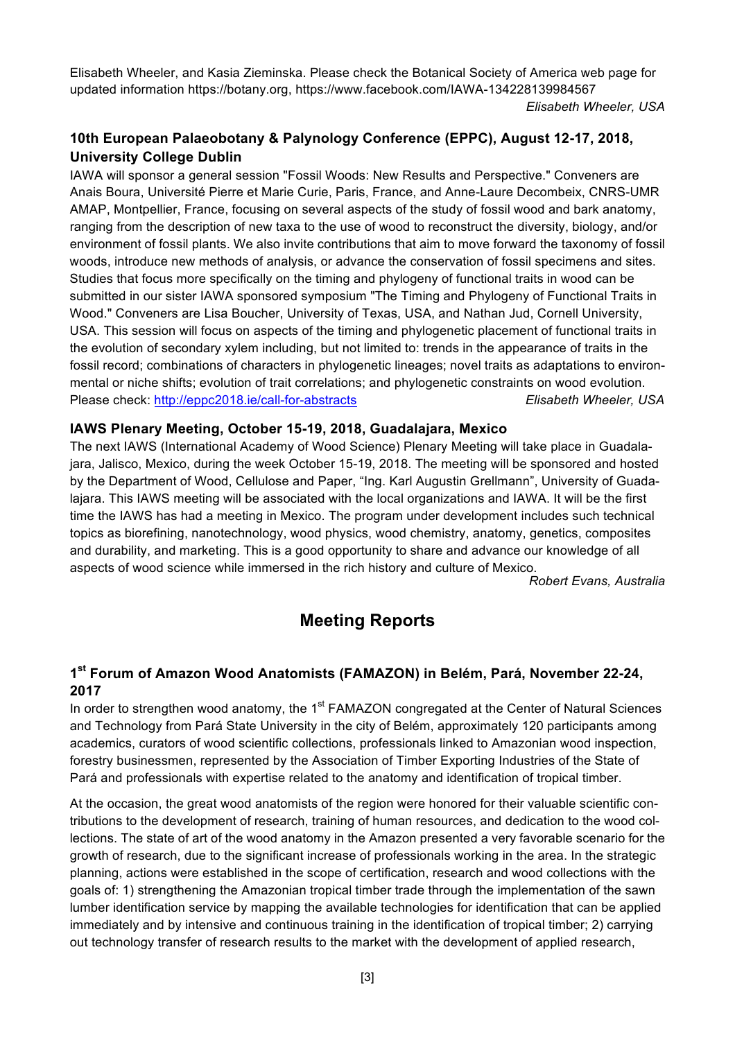Elisabeth Wheeler, and Kasia Zieminska. Please check the Botanical Society of America web page for updated information https://botany.org, https://www.facebook.com/IAWA-134228139984567

*Elisabeth Wheeler, USA*

## **10th European Palaeobotany & Palynology Conference (EPPC), August 12-17, 2018, University College Dublin**

IAWA will sponsor a general session "Fossil Woods: New Results and Perspective." Conveners are Anais Boura, Université Pierre et Marie Curie, Paris, France, and Anne-Laure Decombeix, CNRS-UMR AMAP, Montpellier, France, focusing on several aspects of the study of fossil wood and bark anatomy, ranging from the description of new taxa to the use of wood to reconstruct the diversity, biology, and/or environment of fossil plants. We also invite contributions that aim to move forward the taxonomy of fossil woods, introduce new methods of analysis, or advance the conservation of fossil specimens and sites. Studies that focus more specifically on the timing and phylogeny of functional traits in wood can be submitted in our sister IAWA sponsored symposium "The Timing and Phylogeny of Functional Traits in Wood." Conveners are Lisa Boucher, University of Texas, USA, and Nathan Jud, Cornell University, USA. This session will focus on aspects of the timing and phylogenetic placement of functional traits in the evolution of secondary xylem including, but not limited to: trends in the appearance of traits in the fossil record; combinations of characters in phylogenetic lineages; novel traits as adaptations to environmental or niche shifts; evolution of trait correlations; and phylogenetic constraints on wood evolution. Please check: http://eppc2018.ie/call-for-abstracts Elisabeth Wheeler, USA

## **IAWS Plenary Meeting, October 15-19, 2018, Guadalajara, Mexico**

The next IAWS (International Academy of Wood Science) Plenary Meeting will take place in Guadalajara, Jalisco, Mexico, during the week October 15-19, 2018. The meeting will be sponsored and hosted by the Department of Wood, Cellulose and Paper, "Ing. Karl Augustin Grellmann", University of Guadalajara. This IAWS meeting will be associated with the local organizations and IAWA. It will be the first time the IAWS has had a meeting in Mexico. The program under development includes such technical topics as biorefining, nanotechnology, wood physics, wood chemistry, anatomy, genetics, composites and durability, and marketing. This is a good opportunity to share and advance our knowledge of all aspects of wood science while immersed in the rich history and culture of Mexico.

*Robert Evans, Australia*

## **Meeting Reports**

## **1st Forum of Amazon Wood Anatomists (FAMAZON) in Belém, Pará, November 22-24, 2017**

In order to strengthen wood anatomy, the 1<sup>st</sup> FAMAZON congregated at the Center of Natural Sciences and Technology from Pará State University in the city of Belém, approximately 120 participants among academics, curators of wood scientific collections, professionals linked to Amazonian wood inspection, forestry businessmen, represented by the Association of Timber Exporting Industries of the State of Pará and professionals with expertise related to the anatomy and identification of tropical timber.

At the occasion, the great wood anatomists of the region were honored for their valuable scientific contributions to the development of research, training of human resources, and dedication to the wood collections. The state of art of the wood anatomy in the Amazon presented a very favorable scenario for the growth of research, due to the significant increase of professionals working in the area. In the strategic planning, actions were established in the scope of certification, research and wood collections with the goals of: 1) strengthening the Amazonian tropical timber trade through the implementation of the sawn lumber identification service by mapping the available technologies for identification that can be applied immediately and by intensive and continuous training in the identification of tropical timber; 2) carrying out technology transfer of research results to the market with the development of applied research,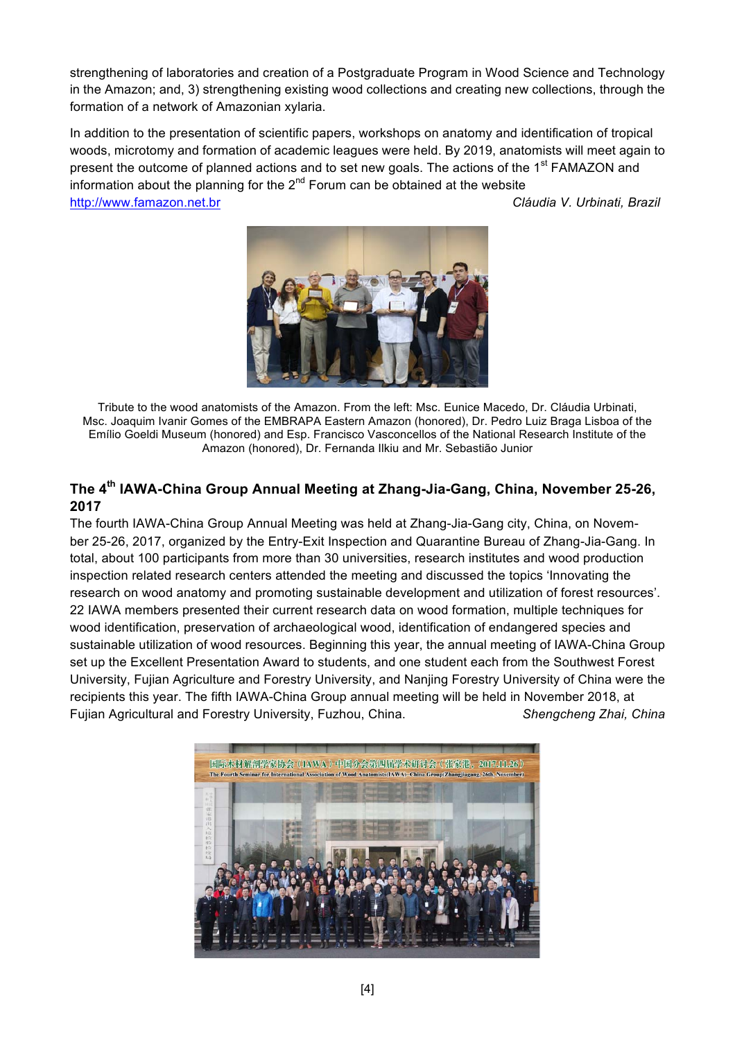strengthening of laboratories and creation of a Postgraduate Program in Wood Science and Technology in the Amazon; and, 3) strengthening existing wood collections and creating new collections, through the formation of a network of Amazonian xylaria.

In addition to the presentation of scientific papers, workshops on anatomy and identification of tropical woods, microtomy and formation of academic leagues were held. By 2019, anatomists will meet again to present the outcome of planned actions and to set new goals. The actions of the 1<sup>st</sup> FAMAZON and information about the planning for the  $2<sup>nd</sup>$  Forum can be obtained at the website http://www.famazon.net.br *Cláudia V. Urbinati, Brazil*



Tribute to the wood anatomists of the Amazon. From the left: Msc. Eunice Macedo, Dr. Cláudia Urbinati, Msc. Joaquim Ivanir Gomes of the EMBRAPA Eastern Amazon (honored), Dr. Pedro Luiz Braga Lisboa of the Emílio Goeldi Museum (honored) and Esp. Francisco Vasconcellos of the National Research Institute of the Amazon (honored), Dr. Fernanda Ilkiu and Mr. Sebastião Junior

## **The 4th IAWA-China Group Annual Meeting at Zhang-Jia-Gang, China, November 25-26, 2017**

The fourth IAWA-China Group Annual Meeting was held at Zhang-Jia-Gang city, China, on November 25-26, 2017, organized by the Entry-Exit Inspection and Quarantine Bureau of Zhang-Jia-Gang. In total, about 100 participants from more than 30 universities, research institutes and wood production inspection related research centers attended the meeting and discussed the topics 'Innovating the research on wood anatomy and promoting sustainable development and utilization of forest resources'. 22 IAWA members presented their current research data on wood formation, multiple techniques for wood identification, preservation of archaeological wood, identification of endangered species and sustainable utilization of wood resources. Beginning this year, the annual meeting of IAWA-China Group set up the Excellent Presentation Award to students, and one student each from the Southwest Forest University, Fujian Agriculture and Forestry University, and Nanjing Forestry University of China were the recipients this year. The fifth IAWA-China Group annual meeting will be held in November 2018, at Fujian Agricultural and Forestry University, Fuzhou, China. *Shengcheng Zhai, China*

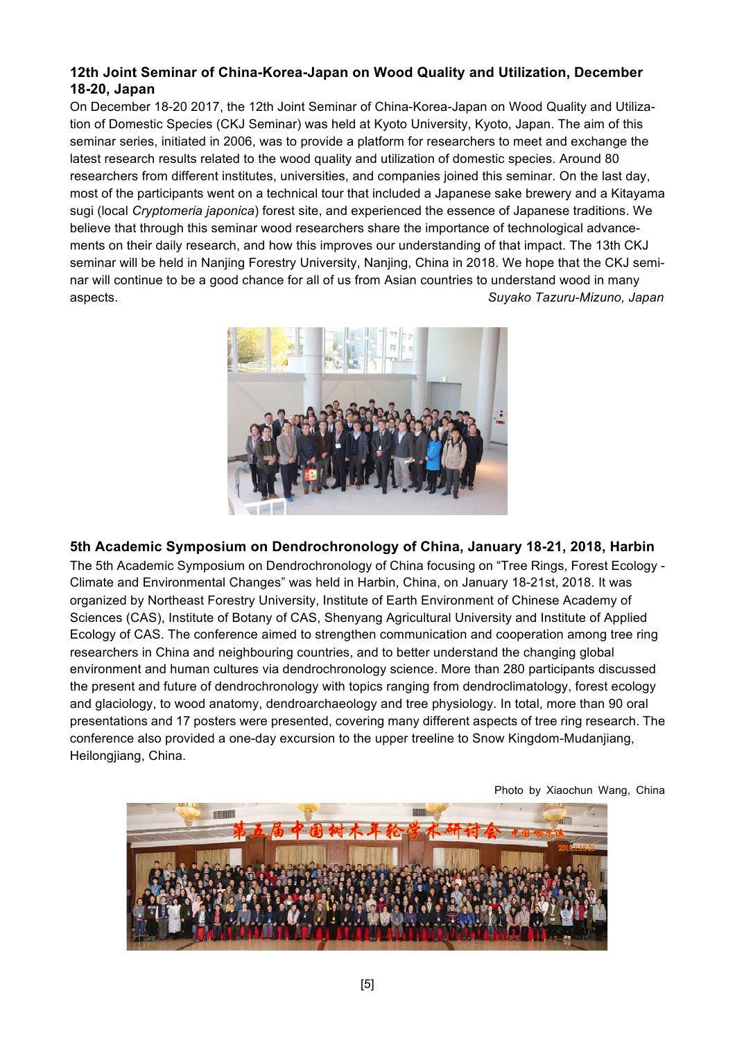### **12th Joint Seminar of China-Korea-Japan on Wood Quality and Utilization, December 18-20, Japan**

On December 18-20 2017, the 12th Joint Seminar of China-Korea-Japan on Wood Quality and Utilization of Domestic Species (CKJ Seminar) was held at Kyoto University, Kyoto, Japan. The aim of this seminar series, initiated in 2006, was to provide a platform for researchers to meet and exchange the latest research results related to the wood quality and utilization of domestic species. Around 80 researchers from different institutes, universities, and companies joined this seminar. On the last day, most of the participants went on a technical tour that included a Japanese sake brewery and a Kitayama sugi (local *Cryptomeria japonica*) forest site, and experienced the essence of Japanese traditions. We believe that through this seminar wood researchers share the importance of technological advancements on their daily research, and how this improves our understanding of that impact. The 13th CKJ seminar will be held in Nanjing Forestry University, Nanjing, China in 2018. We hope that the CKJ seminar will continue to be a good chance for all of us from Asian countries to understand wood in many aspects. *Suyako Tazuru-Mizuno, Japan*



#### **5th Academic Symposium on Dendrochronology of China, January 18-21, 2018, Harbin**

The 5th Academic Symposium on Dendrochronology of China focusing on "Tree Rings, Forest Ecology - Climate and Environmental Changes" was held in Harbin, China, on January 18-21st, 2018. It was organized by Northeast Forestry University, Institute of Earth Environment of Chinese Academy of Sciences (CAS), Institute of Botany of CAS, Shenyang Agricultural University and Institute of Applied Ecology of CAS. The conference aimed to strengthen communication and cooperation among tree ring researchers in China and neighbouring countries, and to better understand the changing global environment and human cultures via dendrochronology science. More than 280 participants discussed the present and future of dendrochronology with topics ranging from dendroclimatology, forest ecology and glaciology, to wood anatomy, dendroarchaeology and tree physiology. In total, more than 90 oral presentations and 17 posters were presented, covering many different aspects of tree ring research. The conference also provided a one-day excursion to the upper treeline to Snow Kingdom-Mudanjiang, Heilongjiang, China.



Photo by Xiaochun Wang, China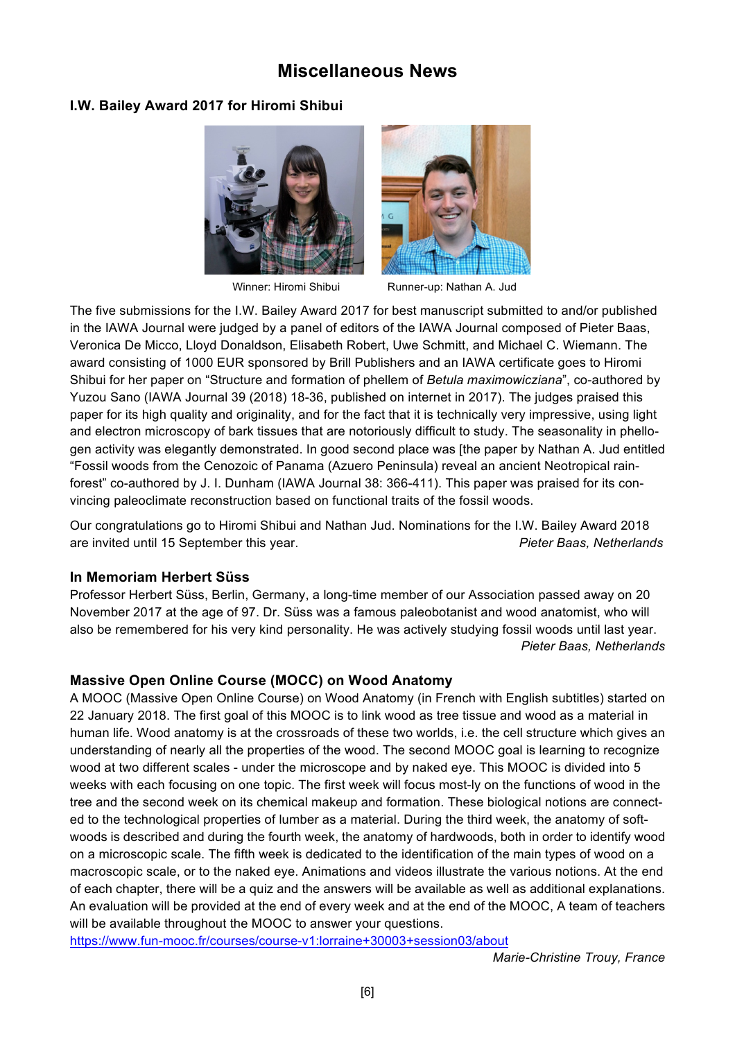## **Miscellaneous News**

### **I.W. Bailey Award 2017 for Hiromi Shibui**





Winner: Hiromi Shibui Runner-up: Nathan A. Jud

The five submissions for the I.W. Bailey Award 2017 for best manuscript submitted to and/or published in the IAWA Journal were judged by a panel of editors of the IAWA Journal composed of Pieter Baas, Veronica De Micco, Lloyd Donaldson, Elisabeth Robert, Uwe Schmitt, and Michael C. Wiemann. The award consisting of 1000 EUR sponsored by Brill Publishers and an IAWA certificate goes to Hiromi Shibui for her paper on "Structure and formation of phellem of *Betula maximowicziana*", co-authored by Yuzou Sano (IAWA Journal 39 (2018) 18-36, published on internet in 2017). The judges praised this paper for its high quality and originality, and for the fact that it is technically very impressive, using light and electron microscopy of bark tissues that are notoriously difficult to study. The seasonality in phellogen activity was elegantly demonstrated. In good second place was [the paper by Nathan A. Jud entitled "Fossil woods from the Cenozoic of Panama (Azuero Peninsula) reveal an ancient Neotropical rainforest" co-authored by J. I. Dunham (IAWA Journal 38: 366-411). This paper was praised for its convincing paleoclimate reconstruction based on functional traits of the fossil woods.

Our congratulations go to Hiromi Shibui and Nathan Jud. Nominations for the I.W. Bailey Award 2018 are invited until 15 September this year. *Pieter Baas, Netherlands*

#### **In Memoriam Herbert Süss**

Professor Herbert Süss, Berlin, Germany, a long-time member of our Association passed away on 20 November 2017 at the age of 97. Dr. Süss was a famous paleobotanist and wood anatomist, who will also be remembered for his very kind personality. He was actively studying fossil woods until last year. *Pieter Baas, Netherlands*

## **Massive Open Online Course (MOCC) on Wood Anatomy**

A MOOC (Massive Open Online Course) on Wood Anatomy (in French with English subtitles) started on 22 January 2018. The first goal of this MOOC is to link wood as tree tissue and wood as a material in human life. Wood anatomy is at the crossroads of these two worlds, i.e. the cell structure which gives an understanding of nearly all the properties of the wood. The second MOOC goal is learning to recognize wood at two different scales - under the microscope and by naked eye. This MOOC is divided into 5 weeks with each focusing on one topic. The first week will focus most-ly on the functions of wood in the tree and the second week on its chemical makeup and formation. These biological notions are connected to the technological properties of lumber as a material. During the third week, the anatomy of softwoods is described and during the fourth week, the anatomy of hardwoods, both in order to identify wood on a microscopic scale. The fifth week is dedicated to the identification of the main types of wood on a macroscopic scale, or to the naked eye. Animations and videos illustrate the various notions. At the end of each chapter, there will be a quiz and the answers will be available as well as additional explanations. An evaluation will be provided at the end of every week and at the end of the MOOC, A team of teachers will be available throughout the MOOC to answer your questions.

https://www.fun-mooc.fr/courses/course-v1:lorraine+30003+session03/about

*Marie-Christine Trouy, France*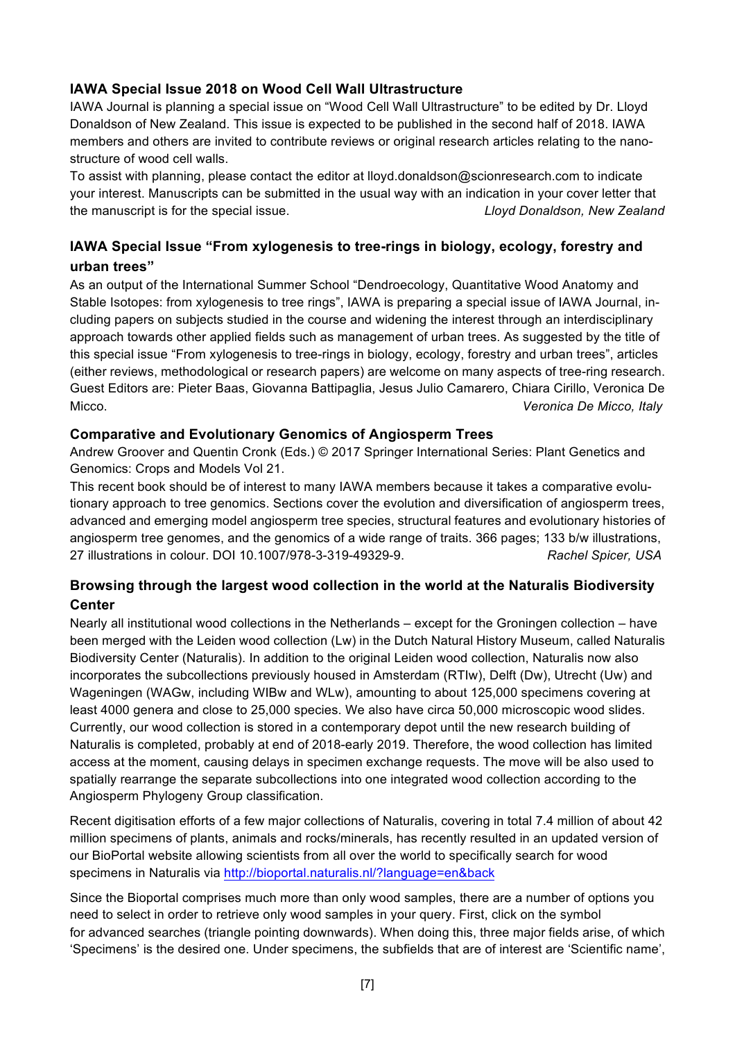### **IAWA Special Issue 2018 on Wood Cell Wall Ultrastructure**

IAWA Journal is planning a special issue on "Wood Cell Wall Ultrastructure" to be edited by Dr. Lloyd Donaldson of New Zealand. This issue is expected to be published in the second half of 2018. IAWA members and others are invited to contribute reviews or original research articles relating to the nanostructure of wood cell walls.

To assist with planning, please contact the editor at lloyd.donaldson@scionresearch.com to indicate your interest. Manuscripts can be submitted in the usual way with an indication in your cover letter that the manuscript is for the special issue. *Lloyd Donaldson, New Zealand*

## **IAWA Special Issue "From xylogenesis to tree-rings in biology, ecology, forestry and urban trees"**

As an output of the International Summer School "Dendroecology, Quantitative Wood Anatomy and Stable Isotopes: from xylogenesis to tree rings", IAWA is preparing a special issue of IAWA Journal, including papers on subjects studied in the course and widening the interest through an interdisciplinary approach towards other applied fields such as management of urban trees. As suggested by the title of this special issue "From xylogenesis to tree-rings in biology, ecology, forestry and urban trees", articles (either reviews, methodological or research papers) are welcome on many aspects of tree-ring research. Guest Editors are: Pieter Baas, Giovanna Battipaglia, Jesus Julio Camarero, Chiara Cirillo, Veronica De Micco. *Veronica De Micco, Italy*

#### **Comparative and Evolutionary Genomics of Angiosperm Trees**

Andrew Groover and Quentin Cronk (Eds.) © 2017 Springer International Series: Plant Genetics and Genomics: Crops and Models Vol 21.

This recent book should be of interest to many IAWA members because it takes a comparative evolutionary approach to tree genomics. Sections cover the evolution and diversification of angiosperm trees, advanced and emerging model angiosperm tree species, structural features and evolutionary histories of angiosperm tree genomes, and the genomics of a wide range of traits. 366 pages; 133 b/w illustrations, 27 illustrations in colour. DOI 10.1007/978-3-319-49329-9. *Rachel Spicer, USA*

## **Browsing through the largest wood collection in the world at the Naturalis Biodiversity Center**

Nearly all institutional wood collections in the Netherlands – except for the Groningen collection – have been merged with the Leiden wood collection (Lw) in the Dutch Natural History Museum, called Naturalis Biodiversity Center (Naturalis). In addition to the original Leiden wood collection, Naturalis now also incorporates the subcollections previously housed in Amsterdam (RTIw), Delft (Dw), Utrecht (Uw) and Wageningen (WAGw, including WIBw and WLw), amounting to about 125,000 specimens covering at least 4000 genera and close to 25,000 species. We also have circa 50,000 microscopic wood slides. Currently, our wood collection is stored in a contemporary depot until the new research building of Naturalis is completed, probably at end of 2018-early 2019. Therefore, the wood collection has limited access at the moment, causing delays in specimen exchange requests. The move will be also used to spatially rearrange the separate subcollections into one integrated wood collection according to the Angiosperm Phylogeny Group classification.

Recent digitisation efforts of a few major collections of Naturalis, covering in total 7.4 million of about 42 million specimens of plants, animals and rocks/minerals, has recently resulted in an updated version of our BioPortal website allowing scientists from all over the world to specifically search for wood specimens in Naturalis via http://bioportal.naturalis.nl/?language=en&back

Since the Bioportal comprises much more than only wood samples, there are a number of options you need to select in order to retrieve only wood samples in your query. First, click on the symbol for advanced searches (triangle pointing downwards). When doing this, three major fields arise, of which 'Specimens' is the desired one. Under specimens, the subfields that are of interest are 'Scientific name',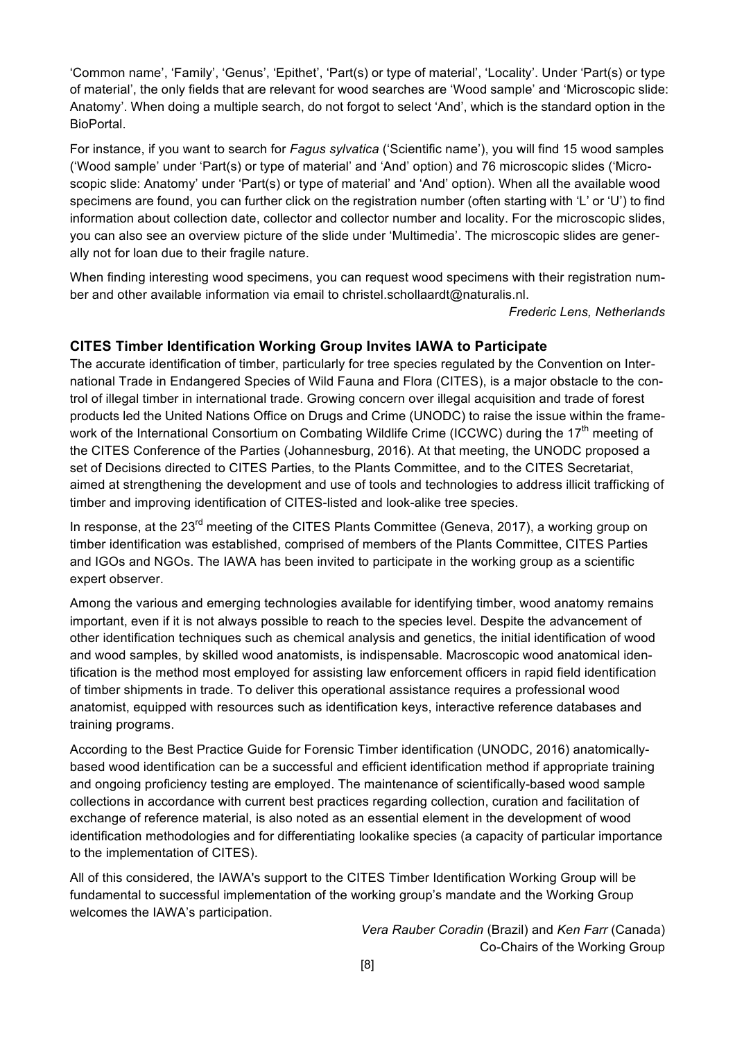'Common name', 'Family', 'Genus', 'Epithet', 'Part(s) or type of material', 'Locality'. Under 'Part(s) or type of material', the only fields that are relevant for wood searches are 'Wood sample' and 'Microscopic slide: Anatomy'. When doing a multiple search, do not forgot to select 'And', which is the standard option in the BioPortal.

For instance, if you want to search for *Fagus sylvatica* ('Scientific name'), you will find 15 wood samples ('Wood sample' under 'Part(s) or type of material' and 'And' option) and 76 microscopic slides ('Microscopic slide: Anatomy' under 'Part(s) or type of material' and 'And' option). When all the available wood specimens are found, you can further click on the registration number (often starting with 'L' or 'U') to find information about collection date, collector and collector number and locality. For the microscopic slides, you can also see an overview picture of the slide under 'Multimedia'. The microscopic slides are generally not for loan due to their fragile nature.

When finding interesting wood specimens, you can request wood specimens with their registration number and other available information via email to christel.schollaardt@naturalis.nl.

*Frederic Lens, Netherlands*

#### **CITES Timber Identification Working Group Invites IAWA to Participate**

The accurate identification of timber, particularly for tree species regulated by the Convention on International Trade in Endangered Species of Wild Fauna and Flora (CITES), is a major obstacle to the control of illegal timber in international trade. Growing concern over illegal acquisition and trade of forest products led the United Nations Office on Drugs and Crime (UNODC) to raise the issue within the framework of the International Consortium on Combating Wildlife Crime (ICCWC) during the 17<sup>th</sup> meeting of the CITES Conference of the Parties (Johannesburg, 2016). At that meeting, the UNODC proposed a set of Decisions directed to CITES Parties, to the Plants Committee, and to the CITES Secretariat, aimed at strengthening the development and use of tools and technologies to address illicit trafficking of timber and improving identification of CITES-listed and look-alike tree species.

In response, at the 23<sup>rd</sup> meeting of the CITES Plants Committee (Geneva, 2017), a working group on timber identification was established, comprised of members of the Plants Committee, CITES Parties and IGOs and NGOs. The IAWA has been invited to participate in the working group as a scientific expert observer.

Among the various and emerging technologies available for identifying timber, wood anatomy remains important, even if it is not always possible to reach to the species level. Despite the advancement of other identification techniques such as chemical analysis and genetics, the initial identification of wood and wood samples, by skilled wood anatomists, is indispensable. Macroscopic wood anatomical identification is the method most employed for assisting law enforcement officers in rapid field identification of timber shipments in trade. To deliver this operational assistance requires a professional wood anatomist, equipped with resources such as identification keys, interactive reference databases and training programs.

According to the Best Practice Guide for Forensic Timber identification (UNODC, 2016) anatomicallybased wood identification can be a successful and efficient identification method if appropriate training and ongoing proficiency testing are employed. The maintenance of scientifically-based wood sample collections in accordance with current best practices regarding collection, curation and facilitation of exchange of reference material, is also noted as an essential element in the development of wood identification methodologies and for differentiating lookalike species (a capacity of particular importance to the implementation of CITES).

All of this considered, the IAWA's support to the CITES Timber Identification Working Group will be fundamental to successful implementation of the working group's mandate and the Working Group welcomes the IAWA's participation.

> *Vera Rauber Coradin* (Brazil) and *Ken Farr* (Canada) Co-Chairs of the Working Group